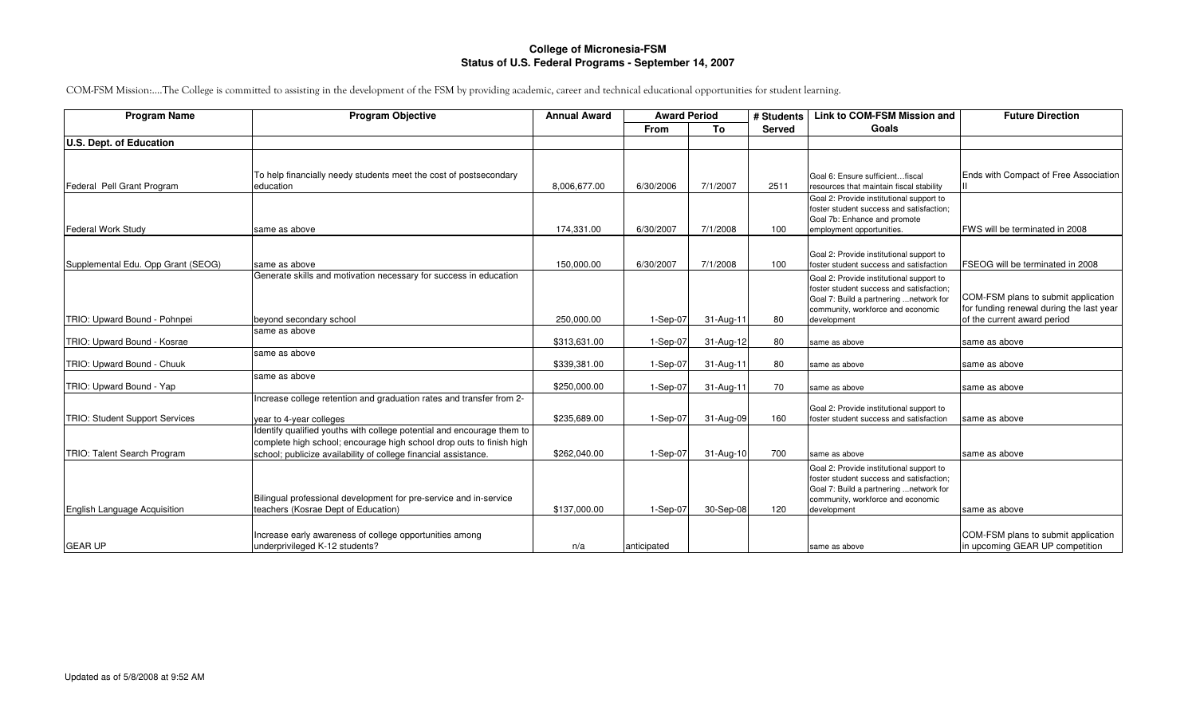## **College of Micronesia-FSMStatus of U.S. Federal Programs - September 14, 2007**

COM-FSM Mission:….The College is committed to assisting in the development of the FSM by providing academic, career and technical educational opportunities for student learning.

| <b>Program Name</b>                   | <b>Program Objective</b>                                                       | <b>Annual Award</b> | <b>Award Period</b> |           | # Students    | <b>Link to COM-FSM Mission and</b>                                           | <b>Future Direction</b>                  |
|---------------------------------------|--------------------------------------------------------------------------------|---------------------|---------------------|-----------|---------------|------------------------------------------------------------------------------|------------------------------------------|
|                                       |                                                                                |                     | <b>From</b>         | To        | <b>Served</b> | Goals                                                                        |                                          |
| U.S. Dept. of Education               |                                                                                |                     |                     |           |               |                                                                              |                                          |
|                                       |                                                                                |                     |                     |           |               |                                                                              |                                          |
|                                       |                                                                                |                     |                     |           |               |                                                                              |                                          |
| Federal Pell Grant Program            | To help financially needy students meet the cost of postsecondary<br>education | 8.006.677.00        | 6/30/2006           | 7/1/2007  | 2511          | Goal 6: Ensure sufficientfiscal<br>resources that maintain fiscal stability  | Ends with Compact of Free Association    |
|                                       |                                                                                |                     |                     |           |               | Goal 2: Provide institutional support to                                     |                                          |
|                                       |                                                                                |                     |                     |           |               | foster student success and satisfaction;                                     |                                          |
|                                       |                                                                                |                     |                     |           |               | Goal 7b: Enhance and promote                                                 |                                          |
| Federal Work Study                    | same as above                                                                  | 174,331.00          | 6/30/2007           | 7/1/2008  | 100           | employment opportunities.                                                    | FWS will be terminated in 2008           |
|                                       |                                                                                |                     |                     |           |               |                                                                              |                                          |
|                                       |                                                                                |                     |                     |           |               | Goal 2: Provide institutional support to                                     |                                          |
| Supplemental Edu. Opp Grant (SEOG)    | same as above                                                                  | 150.000.00          | 6/30/2007           | 7/1/2008  | 100           | foster student success and satisfaction                                      | FSEOG will be terminated in 2008         |
|                                       | Generate skills and motivation necessary for success in education              |                     |                     |           |               | Goal 2: Provide institutional support to                                     |                                          |
|                                       |                                                                                |                     |                     |           |               | foster student success and satisfaction;                                     | COM-FSM plans to submit application      |
|                                       |                                                                                |                     |                     |           |               | Goal 7: Build a partnering  network for<br>community, workforce and economic | for funding renewal during the last year |
| TRIO: Upward Bound - Pohnpei          | beyond secondary school                                                        | 250,000.00          | $1-Sep-07$          | 31-Aug-11 | 80            | development                                                                  | of the current award period              |
|                                       | same as above                                                                  |                     |                     |           |               |                                                                              |                                          |
| TRIO: Upward Bound - Kosrae           |                                                                                | \$313,631.00        | $1-Sep-07$          | 31-Aug-12 | 80            | same as above                                                                | same as above                            |
|                                       | same as above                                                                  |                     |                     |           |               |                                                                              |                                          |
| TRIO: Upward Bound - Chuuk            |                                                                                | \$339,381.00        | $1-Sep-07$          | 31-Aug-11 | 80            | same as above                                                                | same as above                            |
|                                       | same as above                                                                  |                     |                     |           |               |                                                                              |                                          |
| TRIO: Upward Bound - Yap              |                                                                                | \$250,000.00        | $1-Sep-07$          | 31-Aug-11 | 70            | same as above                                                                | same as above                            |
|                                       | Increase college retention and graduation rates and transfer from 2-           |                     |                     |           |               | Goal 2: Provide institutional support to                                     |                                          |
| <b>TRIO: Student Support Services</b> | year to 4-year colleges                                                        | \$235,689.00        | $1-Sep-07$          | 31-Aug-09 | 160           | foster student success and satisfaction                                      | same as above                            |
|                                       | Identify qualified youths with college potential and encourage them to         |                     |                     |           |               |                                                                              |                                          |
|                                       | complete high school; encourage high school drop outs to finish high           |                     |                     |           |               |                                                                              |                                          |
| TRIO: Talent Search Program           | school; publicize availability of college financial assistance.                | \$262,040.00        | $1-Sep-07$          | 31-Aug-10 | 700           | same as above                                                                | same as above                            |
|                                       |                                                                                |                     |                     |           |               | Goal 2: Provide institutional support to                                     |                                          |
|                                       |                                                                                |                     |                     |           |               | foster student success and satisfaction:                                     |                                          |
|                                       |                                                                                |                     |                     |           |               | Goal 7: Build a partnering  network for                                      |                                          |
|                                       | Bilingual professional development for pre-service and in-service              |                     |                     |           |               | community, workforce and economic                                            |                                          |
| English Language Acquisition          | teachers (Kosrae Dept of Education)                                            | \$137,000.00        | $1-Sep-07$          | 30-Sep-08 | 120           | development                                                                  | same as above                            |
|                                       |                                                                                |                     |                     |           |               |                                                                              |                                          |
|                                       | Increase early awareness of college opportunities among                        |                     |                     |           |               |                                                                              | COM-FSM plans to submit application      |
| <b>GEAR UP</b>                        | underprivileged K-12 students?                                                 | n/a                 | anticipated         |           |               | same as above                                                                | in upcoming GEAR UP competition          |